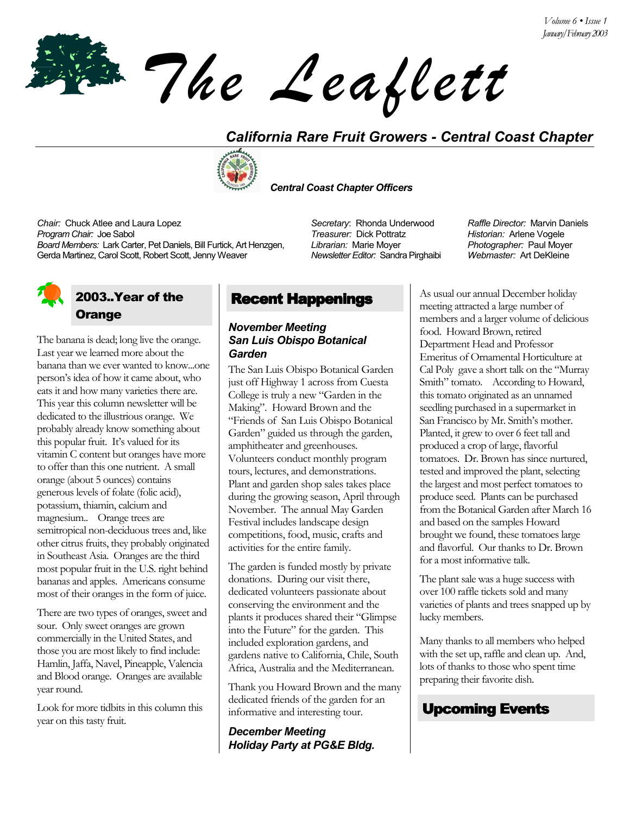*The Leaflett*

## *California Rare Fruit Growers - Central Coast Chapter*



 *Central Coast Chapter Officers*

*Librarian:* Marie Moyer

*Newsletter Editor:* Sandra Pirghaibi

*Chair:* Chuck Atlee and Laura Lopez *Secretary*: Rhonda Underwood *Raffle Director:* Marvin Daniels *Program Chair:* Joe Sabol *Treasurer:* Dick Pottratz *Historian:* Arlene Vogele *Board Members:* Lark Carter, Pet Daniels, Bill Furtick, Art Henzgen, Gerda Martinez, Carol Scott, Robert Scott, Jenny Weaver

## 2003..Year of the **Orange**

The banana is dead; long live the orange. Last year we learned more about the banana than we ever wanted to know...one personís idea of how it came about, who eats it and how many varieties there are. This year this column newsletter will be dedicated to the illustrious orange. We probably already know something about this popular fruit. It's valued for its vitamin C content but oranges have more to offer than this one nutrient. A small orange (about 5 ounces) contains generous levels of folate (folic acid), potassium, thiamin, calcium and magnesium.. Orange trees are semitropical non-deciduous trees and, like other citrus fruits, they probably originated in Southeast Asia. Oranges are the third most popular fruit in the U.S. right behind bananas and apples. Americans consume most of their oranges in the form of juice.

There are two types of oranges, sweet and sour. Only sweet oranges are grown commercially in the United States, and those you are most likely to find include: Hamlin, Jaffa, Navel, Pineapple, Valencia and Blood orange. Oranges are available year round.

Look for more tidbits in this column this year on this tasty fruit.

# Recent Happenings

### *November Meeting San Luis Obispo Botanical Garden*

The San Luis Obispo Botanical Garden just off Highway 1 across from Cuesta College is truly a new "Garden in the Making". Howard Brown and the ìFriends of San Luis Obispo Botanical Garden" guided us through the garden, amphitheater and greenhouses. Volunteers conduct monthly program tours, lectures, and demonstrations. Plant and garden shop sales takes place during the growing season, April through November. The annual May Garden Festival includes landscape design competitions, food, music, crafts and activities for the entire family.

The garden is funded mostly by private donations. During our visit there, dedicated volunteers passionate about conserving the environment and the plants it produces shared their "Glimpse into the Future" for the garden. This included exploration gardens, and gardens native to California, Chile, South Africa, Australia and the Mediterranean.

Thank you Howard Brown and the many dedicated friends of the garden for an informative and interesting tour.

*December Meeting Holiday Party at PG&E Bldg.*  *Photographer:* Paul Moyer *Webmaster:* Art DeKleine

As usual our annual December holiday meeting attracted a large number of members and a larger volume of delicious food. Howard Brown, retired Department Head and Professor Emeritus of Ornamental Horticulture at Cal Poly gave a short talk on the "Murray" Smith" tomato. According to Howard, this tomato originated as an unnamed seedling purchased in a supermarket in San Francisco by Mr. Smith's mother. Planted, it grew to over 6 feet tall and produced a crop of large, flavorful tomatoes. Dr. Brown has since nurtured, tested and improved the plant, selecting the largest and most perfect tomatoes to produce seed. Plants can be purchased from the Botanical Garden after March 16 and based on the samples Howard brought we found, these tomatoes large and flavorful. Our thanks to Dr. Brown for a most informative talk.

The plant sale was a huge success with over 100 raffle tickets sold and many varieties of plants and trees snapped up by lucky members.

Many thanks to all members who helped with the set up, raffle and clean up. And, lots of thanks to those who spent time preparing their favorite dish.